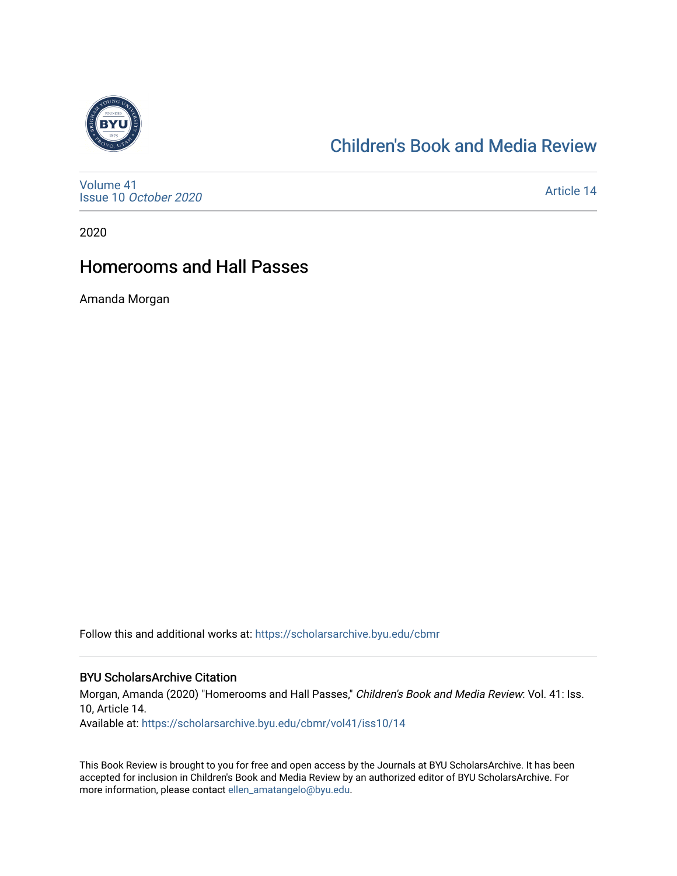

# [Children's Book and Media Review](https://scholarsarchive.byu.edu/cbmr)

[Volume 41](https://scholarsarchive.byu.edu/cbmr/vol41) Issue 10 [October 2020](https://scholarsarchive.byu.edu/cbmr/vol41/iss10)

[Article 14](https://scholarsarchive.byu.edu/cbmr/vol41/iss10/14) 

2020

# Homerooms and Hall Passes

Amanda Morgan

Follow this and additional works at: [https://scholarsarchive.byu.edu/cbmr](https://scholarsarchive.byu.edu/cbmr?utm_source=scholarsarchive.byu.edu%2Fcbmr%2Fvol41%2Fiss10%2F14&utm_medium=PDF&utm_campaign=PDFCoverPages) 

#### BYU ScholarsArchive Citation

Morgan, Amanda (2020) "Homerooms and Hall Passes," Children's Book and Media Review: Vol. 41: Iss. 10, Article 14.

Available at: [https://scholarsarchive.byu.edu/cbmr/vol41/iss10/14](https://scholarsarchive.byu.edu/cbmr/vol41/iss10/14?utm_source=scholarsarchive.byu.edu%2Fcbmr%2Fvol41%2Fiss10%2F14&utm_medium=PDF&utm_campaign=PDFCoverPages) 

This Book Review is brought to you for free and open access by the Journals at BYU ScholarsArchive. It has been accepted for inclusion in Children's Book and Media Review by an authorized editor of BYU ScholarsArchive. For more information, please contact [ellen\\_amatangelo@byu.edu.](mailto:ellen_amatangelo@byu.edu)